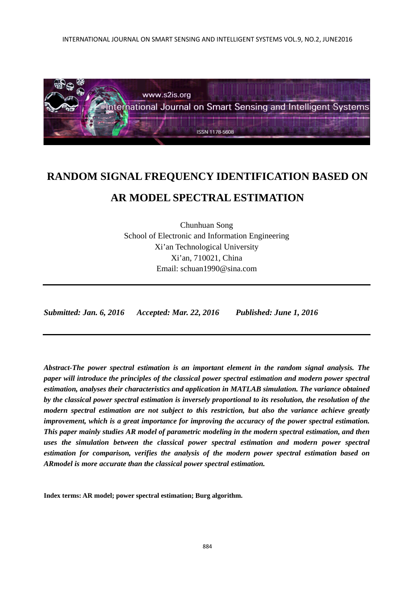INTERNATIONAL JOURNAL ON SMART SENSING AND INTELLIGENT SYSTEMS VOL.9, NO.2, JUNE2016



# **RANDOM SIGNAL FREQUENCY IDENTIFICATION BASED ON AR MODEL SPECTRAL ESTIMATION**

Chunhuan Song School of Electronic and Information Engineering Xi'an Technological University Xi'an, 710021, China Email: schuan1990@sina.com

*Submitted: Jan. 6, 2016 Accepted: Mar. 22, 2016 Published: June 1, 2016* 

*Abstract-The power spectral estimation is an important element in the random signal analysis. The paper will introduce the principles of the classical power spectral estimation and modern power spectral estimation, analyses their characteristics and application in MATLAB simulation. The variance obtained by the classical power spectral estimation is inversely proportional to its resolution, the resolution of the modern spectral estimation are not subject to this restriction, but also the variance achieve greatly improvement, which is a great importance for improving the accuracy of the power spectral estimation. This paper mainly studies AR model of parametric modeling in the modern spectral estimation, and then uses the simulation between the classical power spectral estimation and modern power spectral estimation for comparison, verifies the analysis of the modern power spectral estimation based on ARmodel is more accurate than the classical power spectral estimation.* 

**Index terms: AR model; power spectral estimation; Burg algorithm.**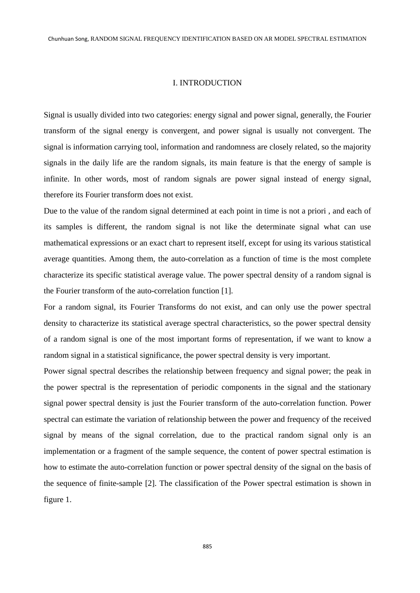## I. INTRODUCTION

Signal is usually divided into two categories: energy signal and power signal, generally, the Fourier transform of the signal energy is convergent, and power signal is usually not convergent. The signal is information carrying tool, information and randomness are closely related, so the majority signals in the daily life are the random signals, its main feature is that the energy of sample is infinite. In other words, most of random signals are power signal instead of energy signal, therefore its Fourier transform does not exist.

Due to the value of the random signal determined at each point in time is not a priori , and each of its samples is different, the random signal is not like the determinate signal what can use mathematical expressions or an exact chart to represent itself, except for using its various statistical average quantities. Among them, the auto-correlation as a function of time is the most complete characterize its specific statistical average value. The power spectral density of a random signal is the Fourier transform of the auto-correlation function [1].

For a random signal, its Fourier Transforms do not exist, and can only use the power spectral density to characterize its statistical average spectral characteristics, so the power spectral density of a random signal is one of the most important forms of representation, if we want to know a random signal in a statistical significance, the power spectral density is very important.

Power signal spectral describes the relationship between frequency and signal power; the peak in the power spectral is the representation of periodic components in the signal and the stationary signal power spectral density is just the Fourier transform of the auto-correlation function. Power spectral can estimate the variation of relationship between the power and frequency of the received signal by means of the signal correlation, due to the practical random signal only is an implementation or a fragment of the sample sequence, the content of power spectral estimation is how to estimate the auto-correlation function or power spectral density of the signal on the basis of the sequence of finite-sample [2]. The classification of the Power spectral estimation is shown in figure 1.

885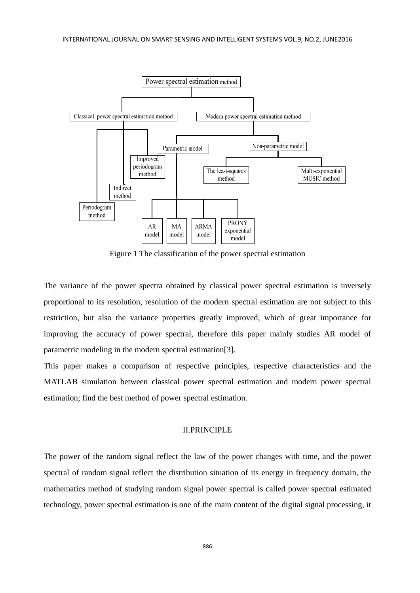

Figure 1 The classification of the power spectral estimation

The variance of the power spectra obtained by classical power spectral estimation is inversely proportional to its resolution, resolution of the modern spectral estimation are not subject to this restriction, but also the variance properties greatly improved, which of great importance for improving the accuracy of power spectral, therefore this paper mainly studies AR model of parametric modeling in the modern spectral estimation[3].

This paper makes a comparison of respective principles, respective characteristics and the MATLAB simulation between classical power spectral estimation and modern power spectral estimation; find the best method of power spectral estimation.

## II.PRINCIPLE

The power of the random signal reflect the law of the power changes with time, and the power spectral of random signal reflect the distribution situation of its energy in frequency domain, the mathematics method of studying random signal power spectral is called power spectral estimated technology, power spectral estimation is one of the main content of the digital signal processing, it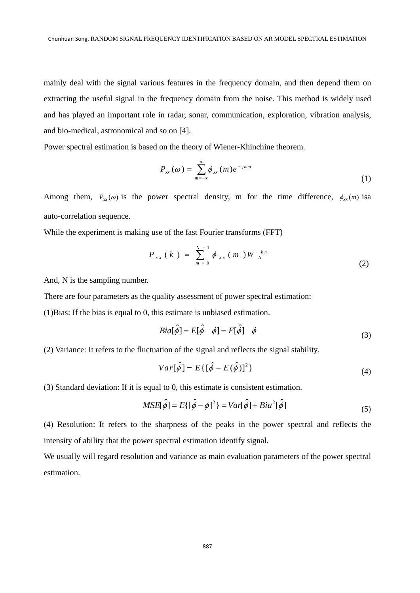mainly deal with the signal various features in the frequency domain, and then depend them on extracting the useful signal in the frequency domain from the noise. This method is widely used and has played an important role in radar, sonar, communication, exploration, vibration analysis, and bio-medical, astronomical and so on [4].

Power spectral estimation is based on the theory of Wiener-Khinchine theorem.

$$
P_{xx}(\omega) = \sum_{m=-\infty}^{\infty} \phi_{xx}(m) e^{-j\omega m}
$$
 (1)

Among them,  $P_{xx}(\omega)$  is the power spectral density, m for the time difference,  $\phi_{xx}(m)$  isa auto-correlation sequence.

While the experiment is making use of the fast Fourier transforms (FFT)

$$
P_{xx}(k) = \sum_{m=0}^{N-1} \phi_{xx}(m) W_{N}^{kn}
$$
 (2)

And, N is the sampling number.

There are four parameters as the quality assessment of power spectral estimation:

(1)Bias: If the bias is equal to 0, this estimate is unbiased estimation.

$$
Bia[\hat{\phi}] = E[\hat{\phi} - \phi] = E[\hat{\phi}] - \phi
$$
\n(3)

(2) Variance: It refers to the fluctuation of the signal and reflects the signal stability.

$$
Var[\hat{\phi}] = E\{[\hat{\phi} - E(\hat{\phi})]^2\}
$$
\n(4)

(3) Standard deviation: If it is equal to 0, this estimate is consistent estimation.

$$
MSE[\hat{\phi}] = E\{[\hat{\phi} - \phi]^2\} = Var[\hat{\phi}] + Bia^2[\hat{\phi}]
$$
\n(5)

(4) Resolution: It refers to the sharpness of the peaks in the power spectral and reflects the intensity of ability that the power spectral estimation identify signal.

We usually will regard resolution and variance as main evaluation parameters of the power spectral estimation.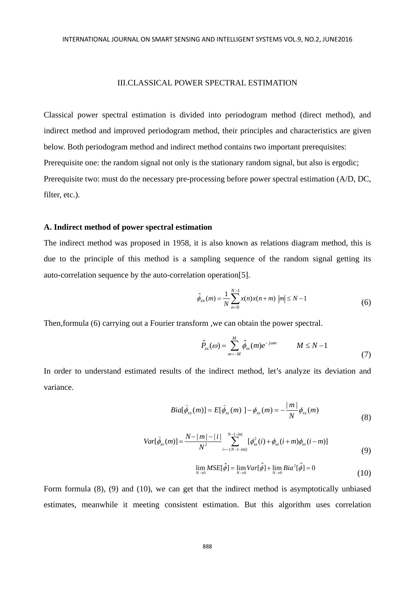## III.CLASSICAL POWER SPECTRAL ESTIMATION

Classical power spectral estimation is divided into periodogram method (direct method), and indirect method and improved periodogram method, their principles and characteristics are given below. Both periodogram method and indirect method contains two important prerequisites: Prerequisite one: the random signal not only is the stationary random signal, but also is ergodic; Prerequisite two: must do the necessary pre-processing before power spectral estimation (A/D, DC, filter, etc.).

## **A. Indirect method of power spectral estimation**

The indirect method was proposed in 1958, it is also known as relations diagram method, this is due to the principle of this method is a sampling sequence of the random signal getting its auto-correlation sequence by the auto-correlation operation[5].

$$
\hat{\phi}_{xx}(m) = \frac{1}{N} \sum_{n=0}^{N-1} x(n) x(n+m) \, |m| \le N-1 \tag{6}
$$

Then,formula (6) carrying out a Fourier transform ,we can obtain the power spectral.

$$
\hat{P}_{xx}(\omega) = \sum_{m=-M}^{M} \hat{\phi}_{xx}(m)e^{-j\omega m} \qquad M \leq N-1
$$
\n(7)

In order to understand estimated results of the indirect method, let's analyze its deviation and variance.

$$
Bia[\hat{\phi}_{xx}(m)] = E[\hat{\phi}_{xx}(m)] - \phi_{xx}(m) = -\frac{|m|}{N} \phi_{xx}(m)
$$
\n(8)

$$
Var[\hat{\phi}_{xx}(m)] = \frac{N-|m|-|i|}{N^2} \sum_{i=-(N-1-|m|)}^{N-1-|m|} [\phi_{xx}^2(i) + \phi_{xx}(i+m)\phi_{xx}(i-m)] \tag{9}
$$

$$
\lim_{N \to 0} MSE[\hat{\phi}] = \lim_{N \to 0} Var[\hat{\phi}] + \lim_{N \to 0} Bia^2[\hat{\phi}] = 0
$$
\n(10)

Form formula (8), (9) and (10), we can get that the indirect method is asymptotically unbiased estimates, meanwhile it meeting consistent estimation. But this algorithm uses correlation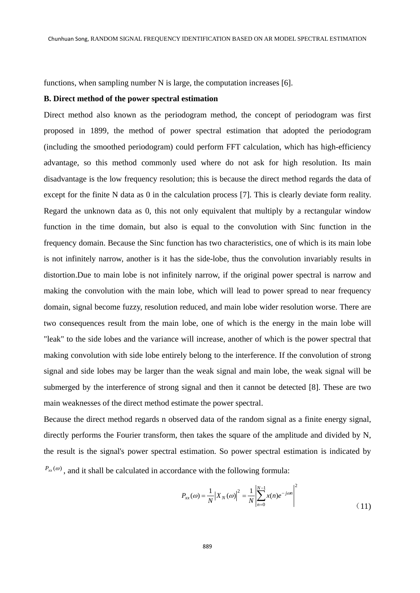functions, when sampling number N is large, the computation increases [6].

## **B. Direct method of the power spectral estimation**

Direct method also known as the periodogram method, the concept of periodogram was first proposed in 1899, the method of power spectral estimation that adopted the periodogram (including the smoothed periodogram) could perform FFT calculation, which has high-efficiency advantage, so this method commonly used where do not ask for high resolution. Its main disadvantage is the low frequency resolution; this is because the direct method regards the data of except for the finite N data as 0 in the calculation process [7]. This is clearly deviate form reality. Regard the unknown data as 0, this not only equivalent that multiply by a rectangular window function in the time domain, but also is equal to the convolution with Sinc function in the frequency domain. Because the Sinc function has two characteristics, one of which is its main lobe is not infinitely narrow, another is it has the side-lobe, thus the convolution invariably results in distortion.Due to main lobe is not infinitely narrow, if the original power spectral is narrow and making the convolution with the main lobe, which will lead to power spread to near frequency domain, signal become fuzzy, resolution reduced, and main lobe wider resolution worse. There are two consequences result from the main lobe, one of which is the energy in the main lobe will "leak" to the side lobes and the variance will increase, another of which is the power spectral that making convolution with side lobe entirely belong to the interference. If the convolution of strong signal and side lobes may be larger than the weak signal and main lobe, the weak signal will be submerged by the interference of strong signal and then it cannot be detected [8]. These are two main weaknesses of the direct method estimate the power spectral.

Because the direct method regards n observed data of the random signal as a finite energy signal, directly performs the Fourier transform, then takes the square of the amplitude and divided by N, the result is the signal's power spectral estimation. So power spectral estimation is indicated by  $P_{xx}(\omega)$ , and it shall be calculated in accordance with the following formula:

$$
P_{xx}(\omega) = \frac{1}{N} |X_N(\omega)|^2 = \frac{1}{N} \left| \sum_{n=0}^{N-1} x(n) e^{-j\omega n} \right|^2 \tag{11}
$$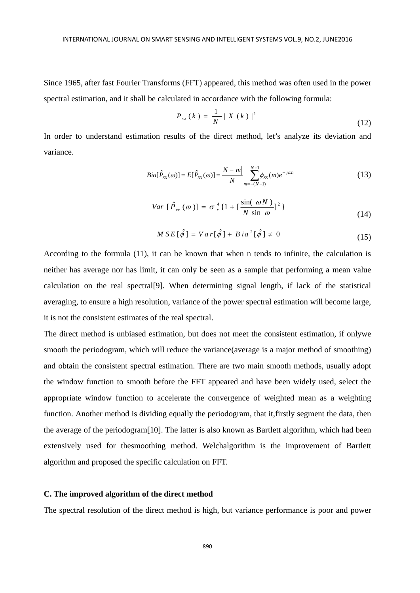Since 1965, after fast Fourier Transforms (FFT) appeared, this method was often used in the power spectral estimation, and it shall be calculated in accordance with the following formula:

$$
P_{xx}(k) = \frac{1}{N} |X(k)|^2
$$
 (12)

In order to understand estimation results of the direct method, let's analyze its deviation and variance.

$$
Bia[\hat{P}_{xx}(\omega)] = E[\hat{P}_{xx}(\omega)] = \frac{N - |m|}{N} \sum_{m = -(N-1)}^{N-1} \phi_{xx}(m)e^{-j\omega n}
$$
(13)

$$
Var\left[\hat{P}_{xx}(\omega)\right] = \sigma_x^4 \left\{1 + \left[\frac{\sin(\omega N)}{N\sin\omega}\right]^2\right\} \tag{14}
$$

$$
MSE[\hat{\phi}] = Var[\hat{\phi}] + Bia^2[\hat{\phi}] \neq 0
$$
\n(15)

According to the formula (11), it can be known that when n tends to infinite, the calculation is neither has average nor has limit, it can only be seen as a sample that performing a mean value calculation on the real spectral[9]. When determining signal length, if lack of the statistical averaging, to ensure a high resolution, variance of the power spectral estimation will become large, it is not the consistent estimates of the real spectral.

The direct method is unbiased estimation, but does not meet the consistent estimation, if onlywe smooth the periodogram, which will reduce the variance(average is a major method of smoothing) and obtain the consistent spectral estimation. There are two main smooth methods, usually adopt the window function to smooth before the FFT appeared and have been widely used, select the appropriate window function to accelerate the convergence of weighted mean as a weighting function. Another method is dividing equally the periodogram, that it,firstly segment the data, then the average of the periodogram[10]. The latter is also known as Bartlett algorithm, which had been extensively used for thesmoothing method. Welchalgorithm is the improvement of Bartlett algorithm and proposed the specific calculation on FFT.

#### **C. The improved algorithm of the direct method**

The spectral resolution of the direct method is high, but variance performance is poor and power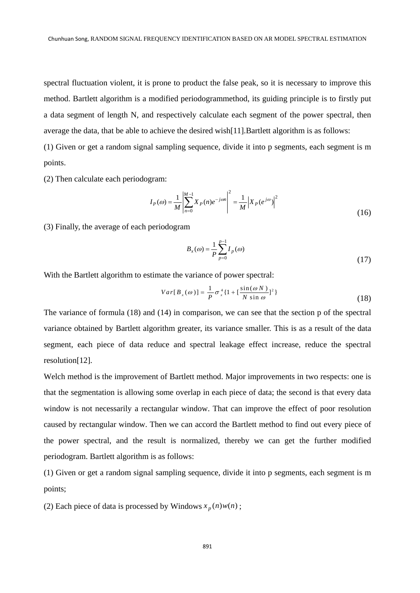spectral fluctuation violent, it is prone to product the false peak, so it is necessary to improve this method. Bartlett algorithm is a modified periodogrammethod, its guiding principle is to firstly put a data segment of length N, and respectively calculate each segment of the power spectral, then average the data, that be able to achieve the desired wish[11].Bartlett algorithm is as follows:

(1) Given or get a random signal sampling sequence, divide it into p segments, each segment is m points.

(2) Then calculate each periodogram:

$$
I_P(\omega) = \frac{1}{M} \left| \sum_{n=0}^{M-1} X_P(n) e^{-j\omega n} \right|^2 = \frac{1}{M} \left| X_P(e^{j\omega}) \right|^2 \tag{16}
$$

(3) Finally, the average of each periodogram

$$
B_x(\omega) = \frac{1}{P} \sum_{p=0}^{p-1} I_p(\omega)
$$
\n(17)

With the Bartlett algorithm to estimate the variance of power spectral:

$$
Var[B_x(\omega)] = \frac{1}{P}\sigma_x^4\{1 + \left[\frac{\sin(\omega N)}{N\sin\omega}\right]^2\}
$$
\n(18)

The variance of formula (18) and (14) in comparison, we can see that the section p of the spectral variance obtained by Bartlett algorithm greater, its variance smaller. This is as a result of the data segment, each piece of data reduce and spectral leakage effect increase, reduce the spectral resolution[12].

Welch method is the improvement of Bartlett method. Major improvements in two respects: one is that the segmentation is allowing some overlap in each piece of data; the second is that every data window is not necessarily a rectangular window. That can improve the effect of poor resolution caused by rectangular window. Then we can accord the Bartlett method to find out every piece of the power spectral, and the result is normalized, thereby we can get the further modified periodogram. Bartlett algorithm is as follows:

(1) Given or get a random signal sampling sequence, divide it into p segments, each segment is m points;

(2) Each piece of data is processed by Windows  $x_p(n)w(n)$ ;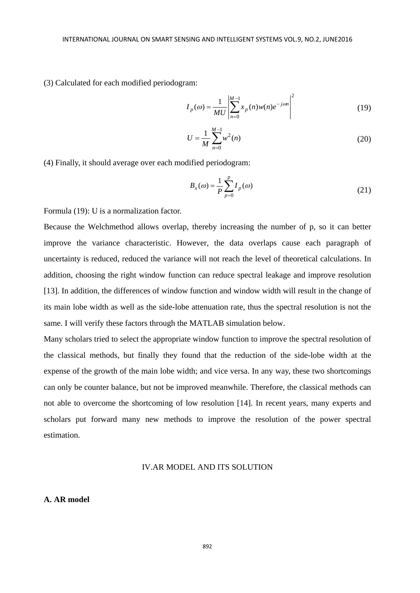(3) Calculated for each modified periodogram:

$$
I_p(\omega) = \frac{1}{MU} \left| \sum_{n=0}^{M-1} x_p(n) w(n) e^{-j\omega n} \right|^2
$$
 (19)

$$
U = \frac{1}{M} \sum_{n=0}^{M-1} w^2(n)
$$
 (20)

(4) Finally, it should average over each modified periodogram:

$$
B_x(\omega) = \frac{1}{P} \sum_{p=0}^{P} I_p(\omega)
$$
\n(21)

Formula (19): U is a normalization factor.

Because the Welchmethod allows overlap, thereby increasing the number of p, so it can better improve the variance characteristic. However, the data overlaps cause each paragraph of uncertainty is reduced, reduced the variance will not reach the level of theoretical calculations. In addition, choosing the right window function can reduce spectral leakage and improve resolution [13]. In addition, the differences of window function and window width will result in the change of its main lobe width as well as the side-lobe attenuation rate, thus the spectral resolution is not the same. I will verify these factors through the MATLAB simulation below.

Many scholars tried to select the appropriate window function to improve the spectral resolution of the classical methods, but finally they found that the reduction of the side-lobe width at the expense of the growth of the main lobe width; and vice versa. In any way, these two shortcomings can only be counter balance, but not be improved meanwhile. Therefore, the classical methods can not able to overcome the shortcoming of low resolution [14]. In recent years, many experts and scholars put forward many new methods to improve the resolution of the power spectral estimation.

# IV.AR MODEL AND ITS SOLUTION

# **A. AR model**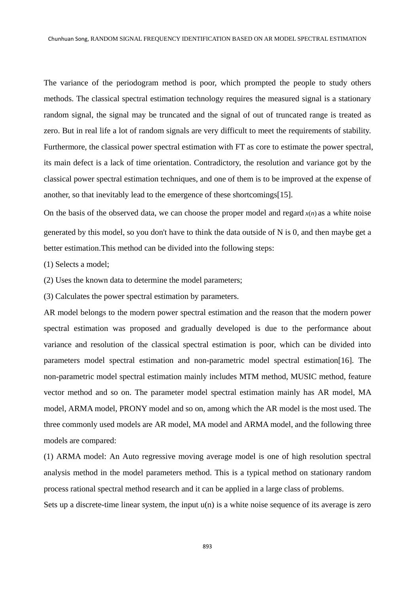The variance of the periodogram method is poor, which prompted the people to study others methods. The classical spectral estimation technology requires the measured signal is a stationary random signal, the signal may be truncated and the signal of out of truncated range is treated as zero. But in real life a lot of random signals are very difficult to meet the requirements of stability. Furthermore, the classical power spectral estimation with FT as core to estimate the power spectral, its main defect is a lack of time orientation. Contradictory, the resolution and variance got by the classical power spectral estimation techniques, and one of them is to be improved at the expense of another, so that inevitably lead to the emergence of these shortcomings[15].

On the basis of the observed data, we can choose the proper model and regard  $x(n)$  as a white noise generated by this model, so you don't have to think the data outside of N is 0, and then maybe get a better estimation.This method can be divided into the following steps:

(1) Selects a model;

(2) Uses the known data to determine the model parameters;

(3) Calculates the power spectral estimation by parameters.

AR model belongs to the modern power spectral estimation and the reason that the modern power spectral estimation was proposed and gradually developed is due to the performance about variance and resolution of the classical spectral estimation is poor, which can be divided into parameters model spectral estimation and non-parametric model spectral estimation[16]. The non-parametric model spectral estimation mainly includes MTM method, MUSIC method, feature vector method and so on. The parameter model spectral estimation mainly has AR model, MA model, ARMA model, PRONY model and so on, among which the AR model is the most used. The three commonly used models are AR model, MA model and ARMA model, and the following three models are compared:

(1) ARMA model: An Auto regressive moving average model is one of high resolution spectral analysis method in the model parameters method. This is a typical method on stationary random process rational spectral method research and it can be applied in a large class of problems.

Sets up a discrete-time linear system, the input  $u(n)$  is a white noise sequence of its average is zero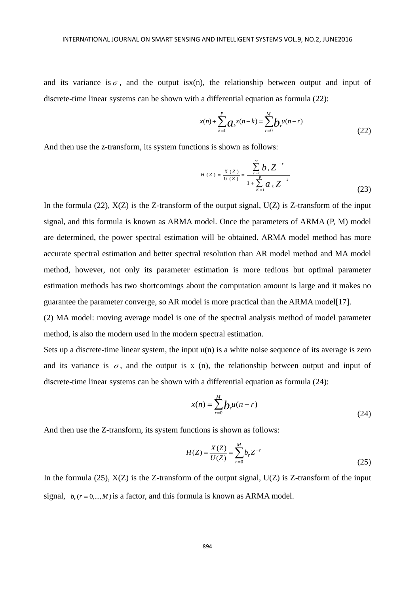and its variance is  $\sigma$ , and the output isx(n), the relationship between output and input of discrete-time linear systems can be shown with a differential equation as formula (22):

$$
x(n) + \sum_{k=1}^{P} a_k x(n-k) = \sum_{r=0}^{M} b_r u(n-r)
$$
\n(22)

And then use the z-transform, its system functions is shown as follows:

$$
H(Z) = \frac{X(Z)}{U(Z)} = \frac{\sum_{r=0}^{M} b_r Z^{-r}}{1 + \sum_{K=1}^{p} a_K Z^{-k}}
$$
(23)

In the formula (22),  $X(Z)$  is the Z-transform of the output signal,  $U(Z)$  is Z-transform of the input signal, and this formula is known as ARMA model. Once the parameters of ARMA (P, M) model are determined, the power spectral estimation will be obtained. ARMA model method has more accurate spectral estimation and better spectral resolution than AR model method and MA model method, however, not only its parameter estimation is more tedious but optimal parameter estimation methods has two shortcomings about the computation amount is large and it makes no guarantee the parameter converge, so AR model is more practical than the ARMA model[17].

(2) MA model: moving average model is one of the spectral analysis method of model parameter method, is also the modern used in the modern spectral estimation.

Sets up a discrete-time linear system, the input  $u(n)$  is a white noise sequence of its average is zero and its variance is  $\sigma$ , and the output is x (n), the relationship between output and input of discrete-time linear systems can be shown with a differential equation as formula (24):

$$
x(n) = \sum_{r=0}^{M} b_r u(n-r)
$$
\n(24)

And then use the Z-transform, its system functions is shown as follows:

$$
H(Z) = \frac{X(Z)}{U(Z)} = \sum_{r=0}^{M} b_r Z^{-r}
$$
\n(25)

In the formula (25),  $X(Z)$  is the Z-transform of the output signal,  $U(Z)$  is Z-transform of the input signal,  $b_r$  ( $r = 0, \ldots, M$ ) is a factor, and this formula is known as ARMA model.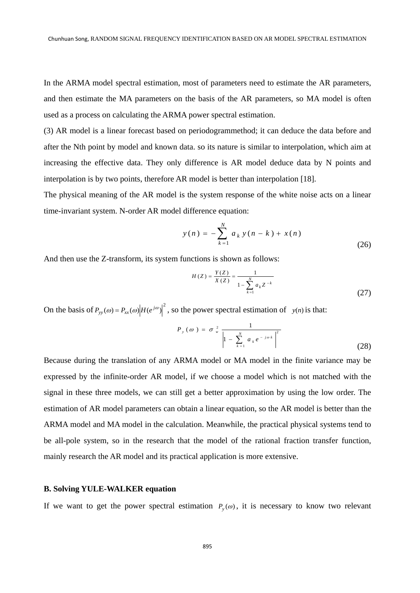In the ARMA model spectral estimation, most of parameters need to estimate the AR parameters, and then estimate the MA parameters on the basis of the AR parameters, so MA model is often used as a process on calculating the ARMA power spectral estimation.

(3) AR model is a linear forecast based on periodogrammethod; it can deduce the data before and after the Nth point by model and known data. so its nature is similar to interpolation, which aim at increasing the effective data. They only difference is AR model deduce data by N points and interpolation is by two points, therefore AR model is better than interpolation [18].

The physical meaning of the AR model is the system response of the white noise acts on a linear time-invariant system. N-order AR model difference equation:

$$
y(n) = -\sum_{k=1}^{N} a_k y(n-k) + x(n)
$$
\n(26)

And then use the Z-transform, its system functions is shown as follows:

$$
H(Z) = \frac{Y(Z)}{X(Z)} = \frac{1}{1 - \sum_{k=1}^{N} a_k Z^{-k}}
$$
\n(27)

On the basis of  $P_{yy}(\omega) = P_{xx}(\omega) |H(e^{j\omega})|^2$ , so the power spectral estimation of *y(n)* is that:

$$
P_{y}(\omega) = \sigma_{w}^{2} \frac{1}{\left|1 - \sum_{k=1}^{N} a_{k} e^{-j\omega k}\right|^{2}}
$$
 (28)

Because during the translation of any ARMA model or MA model in the finite variance may be expressed by the infinite-order AR model, if we choose a model which is not matched with the signal in these three models, we can still get a better approximation by using the low order. The estimation of AR model parameters can obtain a linear equation, so the AR model is better than the ARMA model and MA model in the calculation. Meanwhile, the practical physical systems tend to be all-pole system, so in the research that the model of the rational fraction transfer function, mainly research the AR model and its practical application is more extensive.

## **B. Solving YULE-WALKER equation**

If we want to get the power spectral estimation  $P_y(\omega)$ , it is necessary to know two relevant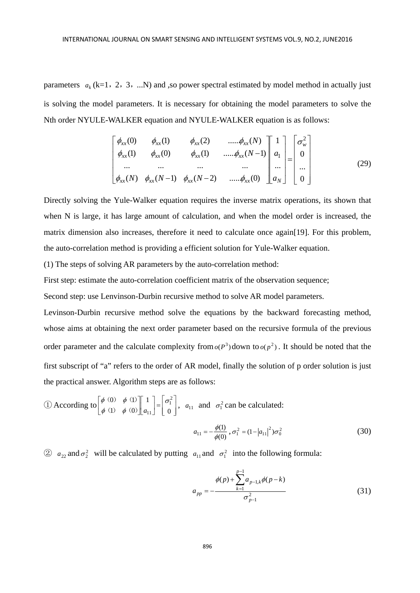parameters  $a_k$  (k=1, 2, 3, ...N) and ,so power spectral estimated by model method in actually just is solving the model parameters. It is necessary for obtaining the model parameters to solve the Nth order NYULE-WALKER equation and NYULE-WALKER equation is as follows:

$$
\begin{bmatrix}\n\phi_{xx}(0) & \phi_{xx}(1) & \phi_{xx}(2) & \dots \phi_{xx}(N) \\
\phi_{xx}(1) & \phi_{xx}(0) & \phi_{xx}(1) & \dots \phi_{xx}(N-1) \\
\dots & \dots & \dots & \dots \\
\phi_{xx}(N) & \phi_{xx}(N-1) & \phi_{xx}(N-2) & \dots \phi_{xx}(0)\n\end{bmatrix}\n\begin{bmatrix}\n1 \\
a_1 \\
\dots \\
a_N\n\end{bmatrix}\n=\n\begin{bmatrix}\n\sigma_w^2 \\
0 \\
\dots \\
0\n\end{bmatrix}
$$
\n(29)

Directly solving the Yule-Walker equation requires the inverse matrix operations, its shown that when N is large, it has large amount of calculation, and when the model order is increased, the matrix dimension also increases, therefore it need to calculate once again[19]. For this problem, the auto-correlation method is providing a efficient solution for Yule-Walker equation.

(1) The steps of solving AR parameters by the auto-correlation method:

First step: estimate the auto-correlation coefficient matrix of the observation sequence;

Second step: use Lenvinson-Durbin recursive method to solve AR model parameters.

Levinson-Durbin recursive method solve the equations by the backward forecasting method, whose aims at obtaining the next order parameter based on the recursive formula of the previous order parameter and the calculate complexity from  $o(P^3)$  down to  $o(p^2)$ . It should be noted that the first subscript of "a" refers to the order of AR model, finally the solution of p order solution is just the practical answer. Algorithm steps are as follows:

$$
\text{(1) According to } \begin{bmatrix} \phi & (0) & \phi & (1) \\ \phi & (1) & \phi & (0) \end{bmatrix} \begin{bmatrix} 1 \\ a_{11} \end{bmatrix} = \begin{bmatrix} \sigma_1^2 \\ 0 \end{bmatrix}, \quad a_{11} \text{ and } \sigma_1^2 \text{ can be calculated:}
$$
\n
$$
a_{11} = -\frac{\phi(1)}{\phi(0)}, \quad \sigma_1^2 = (1 - |a_{11}|^2)\sigma_0^2 \tag{30}
$$

②  $a_{22}$  and  $\sigma_2^2$  will be calculated by putting  $a_{11}$  and  $\sigma_1^2$  into the following formula:

$$
a_{pp} = -\frac{\phi(p) + \sum_{k=1}^{p-1} a_{p-1,k} \phi(p-k)}{\sigma_{p-1}^2}
$$
 (31)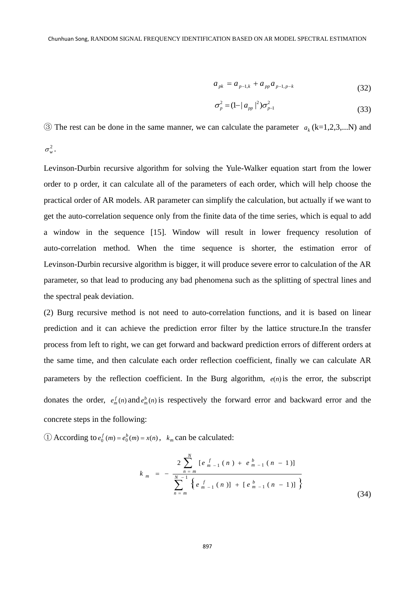$$
a_{pk} = a_{p-1,k} + a_{pp} a_{p-1,p-k}
$$
 (32)

$$
\sigma_p^2 = (1 - |a_{pp}|^2) \sigma_{p-1}^2
$$
\n(33)

 $\circled{3}$  The rest can be done in the same manner, we can calculate the parameter  $a_k$  (k=1,2,3,...N) and

 $\sigma_w^2$ .

Levinson-Durbin recursive algorithm for solving the Yule-Walker equation start from the lower order to p order, it can calculate all of the parameters of each order, which will help choose the practical order of AR models. AR parameter can simplify the calculation, but actually if we want to get the auto-correlation sequence only from the finite data of the time series, which is equal to add a window in the sequence [15]. Window will result in lower frequency resolution of auto-correlation method. When the time sequence is shorter, the estimation error of Levinson-Durbin recursive algorithm is bigger, it will produce severe error to calculation of the AR parameter, so that lead to producing any bad phenomena such as the splitting of spectral lines and the spectral peak deviation.

(2) Burg recursive method is not need to auto-correlation functions, and it is based on linear prediction and it can achieve the prediction error filter by the lattice structure.In the transfer process from left to right, we can get forward and backward prediction errors of different orders at the same time, and then calculate each order reflection coefficient, finally we can calculate AR parameters by the reflection coefficient. In the Burg algorithm, *e*(*n*)is the error, the subscript donates the order,  $e_m^f(n)$  and  $e_m^b(n)$  is respectively the forward error and backward error and the concrete steps in the following:

 $\bigoplus$  According to  $e_0^f(m) = e_0^b(m) = x(n)$ ,  $k_m$  can be calculated:

$$
k_{m} = -\frac{2\sum_{n=m}^{N} [e_{m-1}^{f}(n) + e_{m-1}^{b}(n-1)]}{\sum_{n=m}^{N-1} \{e_{m-1}^{f}(n)\} + [e_{m-1}^{b}(n-1)]\}}
$$
\n(34)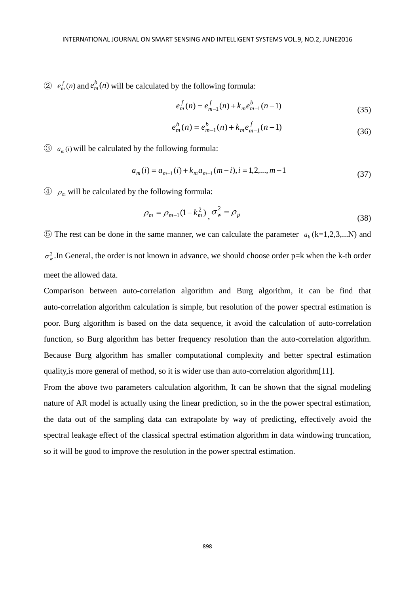$\circled{2}$   $e_m^f(n)$  and  $e_m^b(n)$  will be calculated by the following formula:

$$
e_m^f(n) = e_{m-1}^f(n) + k_m e_{m-1}^b(n-1)
$$
\n(35)

$$
e_m^b(n) = e_{m-1}^b(n) + k_m e_{m-1}^f(n-1)
$$
\n(36)

 $\circled{3}$  *a<sub>m</sub>(i)* will be calculated by the following formula:

$$
a_m(i) = a_{m-1}(i) + k_m a_{m-1}(m-i), i = 1, 2, ..., m-1
$$
\n(37)

 $\circled{4}$   $\rho_m$  will be calculated by the following formula:

$$
\rho_m = \rho_{m-1} (1 - k_m^2) \sigma_w^2 = \rho_p \tag{38}
$$

 $\circled{5}$  The rest can be done in the same manner, we can calculate the parameter  $a_k$  (k=1,2,3,...N) and  $\sigma_w^2$ .In General, the order is not known in advance, we should choose order p=k when the k-th order meet the allowed data.

Comparison between auto-correlation algorithm and Burg algorithm, it can be find that auto-correlation algorithm calculation is simple, but resolution of the power spectral estimation is poor. Burg algorithm is based on the data sequence, it avoid the calculation of auto-correlation function, so Burg algorithm has better frequency resolution than the auto-correlation algorithm. Because Burg algorithm has smaller computational complexity and better spectral estimation quality,is more general of method, so it is wider use than auto-correlation algorithm[11].

From the above two parameters calculation algorithm, It can be shown that the signal modeling nature of AR model is actually using the linear prediction, so in the the power spectral estimation, the data out of the sampling data can extrapolate by way of predicting, effectively avoid the spectral leakage effect of the classical spectral estimation algorithm in data windowing truncation, so it will be good to improve the resolution in the power spectral estimation.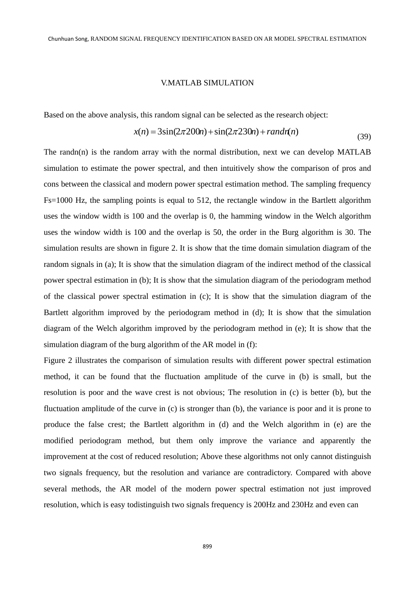#### V.MATLAB SIMULATION

Based on the above analysis, this random signal can be selected as the research object:

$$
x(n) = 3\sin(2\pi 200n) + \sin(2\pi 230n) + randn(n)
$$
\n(39)

The randn(n) is the random array with the normal distribution, next we can develop MATLAB simulation to estimate the power spectral, and then intuitively show the comparison of pros and cons between the classical and modern power spectral estimation method. The sampling frequency Fs=1000 Hz, the sampling points is equal to 512, the rectangle window in the Bartlett algorithm uses the window width is 100 and the overlap is 0, the hamming window in the Welch algorithm uses the window width is 100 and the overlap is 50, the order in the Burg algorithm is 30. The simulation results are shown in figure 2. It is show that the time domain simulation diagram of the random signals in (a); It is show that the simulation diagram of the indirect method of the classical power spectral estimation in (b); It is show that the simulation diagram of the periodogram method of the classical power spectral estimation in (c); It is show that the simulation diagram of the Bartlett algorithm improved by the periodogram method in (d); It is show that the simulation diagram of the Welch algorithm improved by the periodogram method in (e); It is show that the simulation diagram of the burg algorithm of the AR model in (f):

Figure 2 illustrates the comparison of simulation results with different power spectral estimation method, it can be found that the fluctuation amplitude of the curve in (b) is small, but the resolution is poor and the wave crest is not obvious; The resolution in (c) is better (b), but the fluctuation amplitude of the curve in (c) is stronger than (b), the variance is poor and it is prone to produce the false crest; the Bartlett algorithm in (d) and the Welch algorithm in (e) are the modified periodogram method, but them only improve the variance and apparently the improvement at the cost of reduced resolution; Above these algorithms not only cannot distinguish two signals frequency, but the resolution and variance are contradictory. Compared with above several methods, the AR model of the modern power spectral estimation not just improved resolution, which is easy todistinguish two signals frequency is 200Hz and 230Hz and even can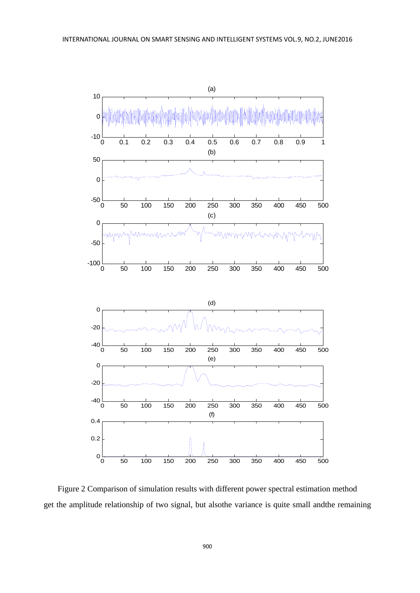

Figure 2 Comparison of simulation results with different power spectral estimation method get the amplitude relationship of two signal, but alsothe variance is quite small andthe remaining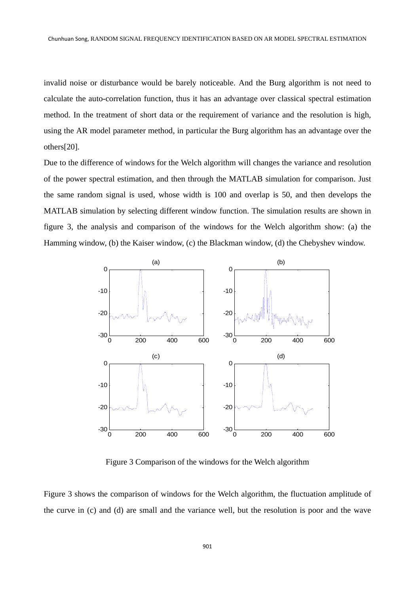invalid noise or disturbance would be barely noticeable. And the Burg algorithm is not need to calculate the auto-correlation function, thus it has an advantage over classical spectral estimation method. In the treatment of short data or the requirement of variance and the resolution is high, using the AR model parameter method, in particular the Burg algorithm has an advantage over the others[20].

Due to the difference of windows for the Welch algorithm will changes the variance and resolution of the power spectral estimation, and then through the MATLAB simulation for comparison. Just the same random signal is used, whose width is 100 and overlap is 50, and then develops the MATLAB simulation by selecting different window function. The simulation results are shown in figure 3, the analysis and comparison of the windows for the Welch algorithm show: (a) the Hamming window, (b) the Kaiser window, (c) the Blackman window, (d) the Chebyshev window.



Figure 3 Comparison of the windows for the Welch algorithm

Figure 3 shows the comparison of windows for the Welch algorithm, the fluctuation amplitude of the curve in (c) and (d) are small and the variance well, but the resolution is poor and the wave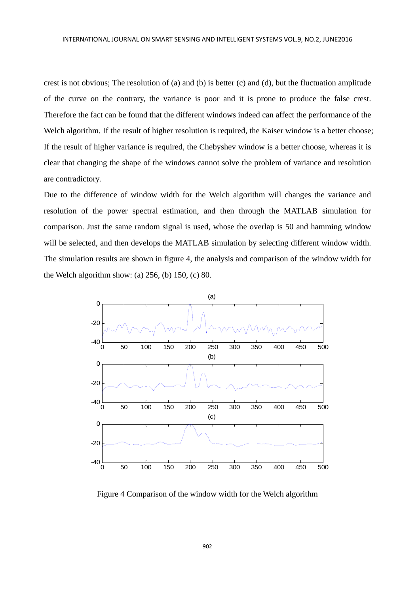crest is not obvious; The resolution of (a) and (b) is better (c) and (d), but the fluctuation amplitude of the curve on the contrary, the variance is poor and it is prone to produce the false crest. Therefore the fact can be found that the different windows indeed can affect the performance of the Welch algorithm. If the result of higher resolution is required, the Kaiser window is a better choose; If the result of higher variance is required, the Chebyshev window is a better choose, whereas it is clear that changing the shape of the windows cannot solve the problem of variance and resolution are contradictory.

Due to the difference of window width for the Welch algorithm will changes the variance and resolution of the power spectral estimation, and then through the MATLAB simulation for comparison. Just the same random signal is used, whose the overlap is 50 and hamming window will be selected, and then develops the MATLAB simulation by selecting different window width. The simulation results are shown in figure 4, the analysis and comparison of the window width for the Welch algorithm show: (a) 256, (b) 150, (c) 80.



Figure 4 Comparison of the window width for the Welch algorithm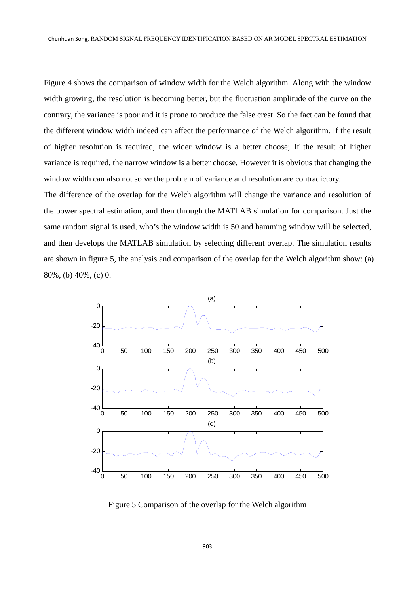Figure 4 shows the comparison of window width for the Welch algorithm. Along with the window width growing, the resolution is becoming better, but the fluctuation amplitude of the curve on the contrary, the variance is poor and it is prone to produce the false crest. So the fact can be found that the different window width indeed can affect the performance of the Welch algorithm. If the result of higher resolution is required, the wider window is a better choose; If the result of higher variance is required, the narrow window is a better choose, However it is obvious that changing the window width can also not solve the problem of variance and resolution are contradictory.

The difference of the overlap for the Welch algorithm will change the variance and resolution of the power spectral estimation, and then through the MATLAB simulation for comparison. Just the same random signal is used, who's the window width is 50 and hamming window will be selected, and then develops the MATLAB simulation by selecting different overlap. The simulation results are shown in figure 5, the analysis and comparison of the overlap for the Welch algorithm show: (a) 80%, (b) 40%, (c) 0.



Figure 5 Comparison of the overlap for the Welch algorithm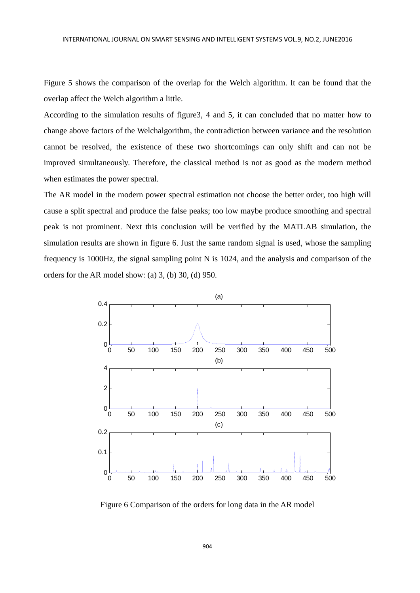Figure 5 shows the comparison of the overlap for the Welch algorithm. It can be found that the overlap affect the Welch algorithm a little.

According to the simulation results of figure3, 4 and 5, it can concluded that no matter how to change above factors of the Welchalgorithm, the contradiction between variance and the resolution cannot be resolved, the existence of these two shortcomings can only shift and can not be improved simultaneously. Therefore, the classical method is not as good as the modern method when estimates the power spectral.

The AR model in the modern power spectral estimation not choose the better order, too high will cause a split spectral and produce the false peaks; too low maybe produce smoothing and spectral peak is not prominent. Next this conclusion will be verified by the MATLAB simulation, the simulation results are shown in figure 6. Just the same random signal is used, whose the sampling frequency is 1000Hz, the signal sampling point N is 1024, and the analysis and comparison of the orders for the AR model show: (a) 3, (b) 30, (d) 950.



Figure 6 Comparison of the orders for long data in the AR model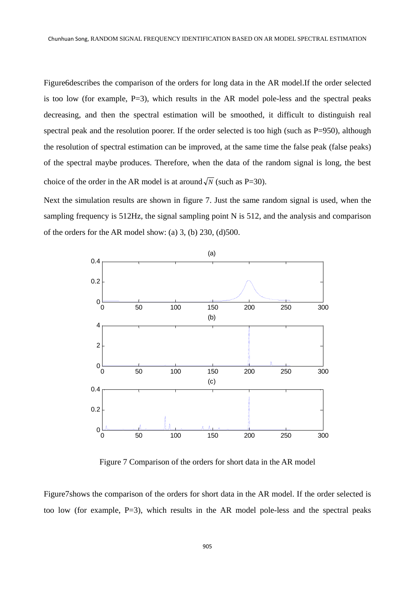Figure6describes the comparison of the orders for long data in the AR model.If the order selected is too low (for example,  $P=3$ ), which results in the AR model pole-less and the spectral peaks decreasing, and then the spectral estimation will be smoothed, it difficult to distinguish real spectral peak and the resolution poorer. If the order selected is too high (such as P=950), although the resolution of spectral estimation can be improved, at the same time the false peak (false peaks) of the spectral maybe produces. Therefore, when the data of the random signal is long, the best choice of the order in the AR model is at around  $\sqrt{N}$  (such as P=30).

Next the simulation results are shown in figure 7. Just the same random signal is used, when the sampling frequency is 512Hz, the signal sampling point N is 512, and the analysis and comparison of the orders for the AR model show: (a) 3, (b) 230, (d)500.



Figure 7 Comparison of the orders for short data in the AR model

Figure7shows the comparison of the orders for short data in the AR model. If the order selected is too low (for example, P=3), which results in the AR model pole-less and the spectral peaks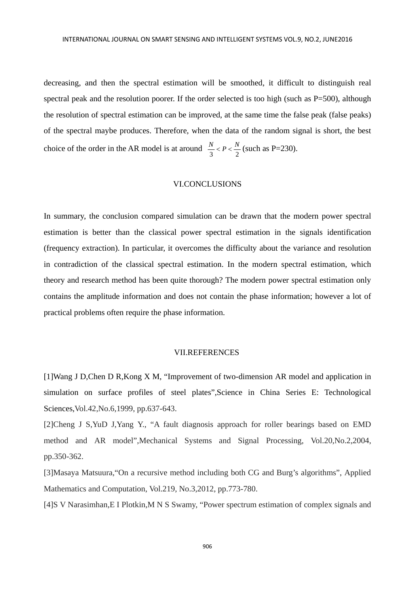decreasing, and then the spectral estimation will be smoothed, it difficult to distinguish real spectral peak and the resolution poorer. If the order selected is too high (such as P=500), although the resolution of spectral estimation can be improved, at the same time the false peak (false peaks) of the spectral maybe produces. Therefore, when the data of the random signal is short, the best choice of the order in the AR model is at around  $\frac{N}{3} < P < \frac{N}{2}$  (such as P=230).

## VI.CONCLUSIONS

In summary, the conclusion compared simulation can be drawn that the modern power spectral estimation is better than the classical power spectral estimation in the signals identification (frequency extraction). In particular, it overcomes the difficulty about the variance and resolution in contradiction of the classical spectral estimation. In the modern spectral estimation, which theory and research method has been quite thorough? The modern power spectral estimation only contains the amplitude information and does not contain the phase information; however a lot of practical problems often require the phase information.

#### VII.REFERENCES

[1]Wang J D,Chen D R,Kong X M, "Improvement of two-dimension AR model and application in simulation on surface profiles of steel plates",Science in China Series E: Technological Sciences,Vol.42,No.6,1999, pp.637-643.

[2]Cheng J S,YuD J,Yang Y., "A fault diagnosis approach for roller bearings based on EMD method and AR model",Mechanical Systems and Signal Processing, Vol.20,No.2,2004, pp.350-362.

[3]Masaya Matsuura,"On a recursive method including both CG and Burg's algorithms", Applied Mathematics and Computation, Vol.219, No.3,2012, pp.773-780.

[4]S V Narasimhan,E I Plotkin,M N S Swamy, "Power spectrum estimation of complex signals and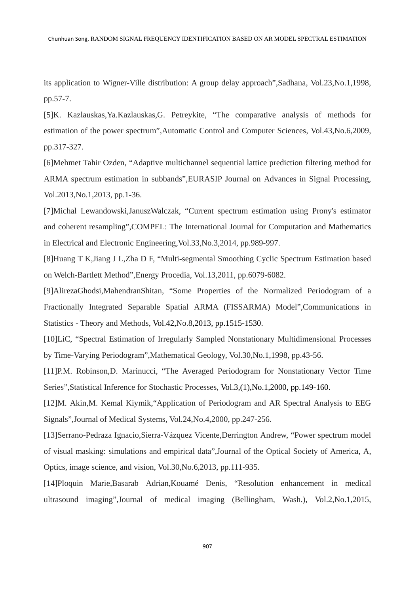its application to Wigner-Ville distribution: A group delay approach",Sadhana, Vol.23,No.1,1998, pp.57-7.

[5]K. Kazlauskas,Ya.Kazlauskas,G. Petreykite, "The comparative analysis of methods for estimation of the power spectrum",Automatic Control and Computer Sciences, Vol.43,No.6,2009, pp.317-327.

[6]Mehmet Tahir Ozden, "Adaptive multichannel sequential lattice prediction filtering method for ARMA spectrum estimation in subbands",EURASIP Journal on Advances in Signal Processing, Vol.2013,No.1,2013, pp.1-36.

[7]Michal Lewandowski,JanuszWalczak, "Current spectrum estimation using Prony's estimator and coherent resampling",COMPEL: The International Journal for Computation and Mathematics in Electrical and Electronic Engineering,Vol.33,No.3,2014, pp.989-997.

[8]Huang T K,Jiang J L,Zha D F, "Multi-segmental Smoothing Cyclic Spectrum Estimation based on Welch-Bartlett Method",Energy Procedia, Vol.13,2011, pp.6079-6082.

[9]AlirezaGhodsi,MahendranShitan, "Some Properties of the Normalized Periodogram of a Fractionally Integrated Separable Spatial ARMA (FISSARMA) Model",Communications in Statistics - Theory and Methods, Vol.42,No.8,2013, pp.1515-1530.

[10]LiC, "Spectral Estimation of Irregularly Sampled Nonstationary Multidimensional Processes by Time-Varying Periodogram",Mathematical Geology, Vol.30,No.1,1998, pp.43-56.

[11]P.M. Robinson,D. Marinucci, "The Averaged Periodogram for Nonstationary Vector Time Series",Statistical Inference for Stochastic Processes, Vol.3,(1),No.1,2000, pp.149-160.

[12]M. Akin,M. Kemal Kiymik,"Application of Periodogram and AR Spectral Analysis to EEG Signals",Journal of Medical Systems, Vol.24,No.4,2000, pp.247-256.

[13]Serrano-Pedraza Ignacio,Sierra-Vázquez Vicente,Derrington Andrew, "Power spectrum model of visual masking: simulations and empirical data",Journal of the Optical Society of America, A, Optics, image science, and vision, Vol.30,No.6,2013, pp.111-935.

[14]Ploquin Marie,Basarab Adrian,Kouamé Denis, "Resolution enhancement in medical ultrasound imaging",Journal of medical imaging (Bellingham, Wash.), Vol.2,No.1,2015,